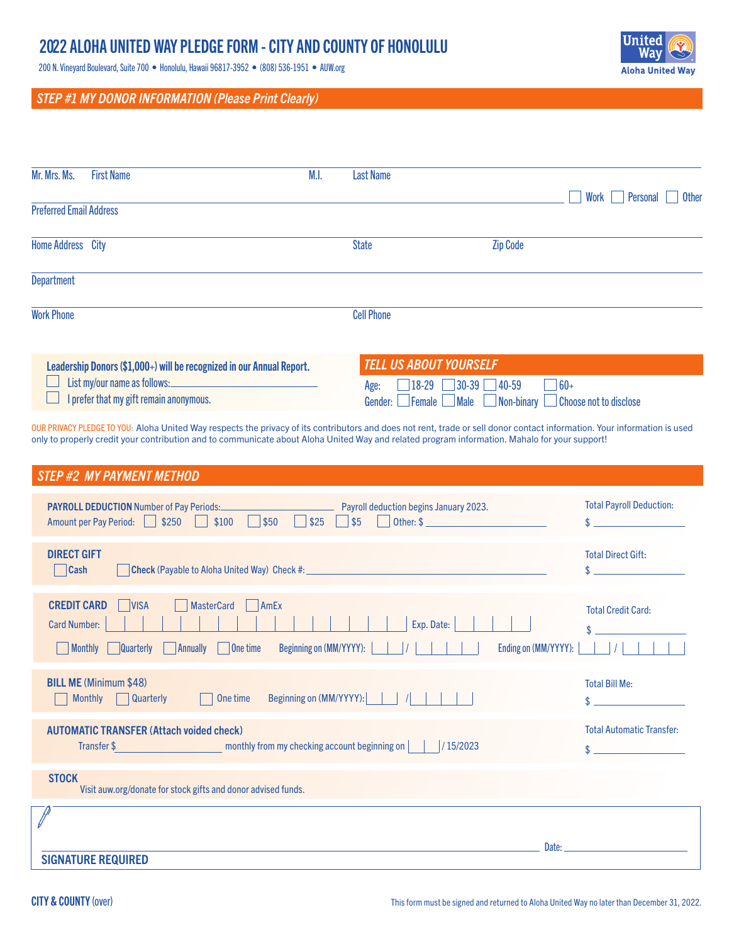# 2022 ALOHA UNITED WAY PLEDGE FORM - CITY AND COUNTY OF HONOLULU

200 N. Vineyard Boulevard, Suite 700 • Honolulu, Hawaii 96817-3952 • (808) 536-1951 • AUW.org

# *STEP #1 MY DONOR INFORMATION (Please Print Clearly)*

| Mr. Mrs. Ms.                   | <b>First Name</b>                                                                                                                                                                                                                                                                                                          | M.I. | <b>Last Name</b>                               |                   | Personal<br><b>Other</b><br>Work |
|--------------------------------|----------------------------------------------------------------------------------------------------------------------------------------------------------------------------------------------------------------------------------------------------------------------------------------------------------------------------|------|------------------------------------------------|-------------------|----------------------------------|
| <b>Preferred Email Address</b> |                                                                                                                                                                                                                                                                                                                            |      |                                                |                   |                                  |
| Home Address City              |                                                                                                                                                                                                                                                                                                                            |      | <b>State</b>                                   | <b>Zip Code</b>   |                                  |
| <b>Department</b>              |                                                                                                                                                                                                                                                                                                                            |      |                                                |                   |                                  |
| <b>Work Phone</b>              |                                                                                                                                                                                                                                                                                                                            |      | <b>Cell Phone</b>                              |                   |                                  |
|                                |                                                                                                                                                                                                                                                                                                                            |      |                                                |                   |                                  |
|                                | Leadership Donors (\$1,000+) will be recognized in our Annual Report.                                                                                                                                                                                                                                                      |      | <b>TELL US ABOUT YOURSELF</b>                  |                   |                                  |
|                                | List my/our name as follows:                                                                                                                                                                                                                                                                                               |      | $ 18-29 $<br>Age:                              | $30-39$ 40-59     | $\Box$ 60+                       |
|                                | I prefer that my gift remain anonymous.                                                                                                                                                                                                                                                                                    |      | $\Box$ Female $\Box$<br>$\Box$ Male<br>Gender: | $\Box$ Non-binary | Choose not to disclose           |
|                                | OUR PRIVACY PLEDGE TO YOU: Aloha United Way respects the privacy of its contributors and does not rent, trade or sell donor contact information. Your information is used<br>only to properly credit your contribution and to communicate about Aloha United Way and related program information. Mahalo for your support! |      |                                                |                   |                                  |
|                                | <b>STEP #2 MY PAYMENT METHOD</b>                                                                                                                                                                                                                                                                                           |      |                                                |                   |                                  |
|                                | <b>PAYROLL DEDUCTION Number of Pay Periods:</b><br>$\overline{\phantom{0}}$<br>$\overline{\phantom{0}}$                                                                                                                                                                                                                    |      | Payroll deduction begins January 2023.         |                   | <b>Total Payroll Deduction:</b>  |

| \$50<br>\$25<br>\$5<br>\$250<br>\$100<br>Other: \$<br><b>Amount per Pay Period:</b>                                                                                                                                     |                                        |
|-------------------------------------------------------------------------------------------------------------------------------------------------------------------------------------------------------------------------|----------------------------------------|
| <b>DIRECT GIFT</b><br><b>Cash</b>                                                                                                                                                                                       | <b>Total Direct Gift:</b><br>\$        |
| <b>CREDIT CARD</b><br><b>VISA</b><br><b>MasterCard</b><br>AmEx<br>Exp. Date:<br><b>Card Number:</b><br>Beginning on (MM/YYYY):<br>Ending on (MM/YYYY):<br>  Monthly<br> One time<br><b>Annually</b><br><b>Quarterly</b> | <b>Total Credit Card:</b><br>\$        |
| <b>BILL ME (Minimum \$48)</b><br>Beginning on (MM/YYYY):<br><b>Monthly</b><br><b>Quarterly</b><br>One time                                                                                                              | <b>Total Bill Me:</b><br>\$            |
| <b>AUTOMATIC TRANSFER (Attach voided check)</b><br>/15/2023<br>Transfer \$<br>monthly from my checking account beginning on                                                                                             | <b>Total Automatic Transfer:</b><br>\$ |
| <b>STOCK</b><br>Visit auw.org/donate for stock gifts and donor advised funds.                                                                                                                                           |                                        |
| Date:<br><b>SIGNATURE REQUIRED</b>                                                                                                                                                                                      |                                        |